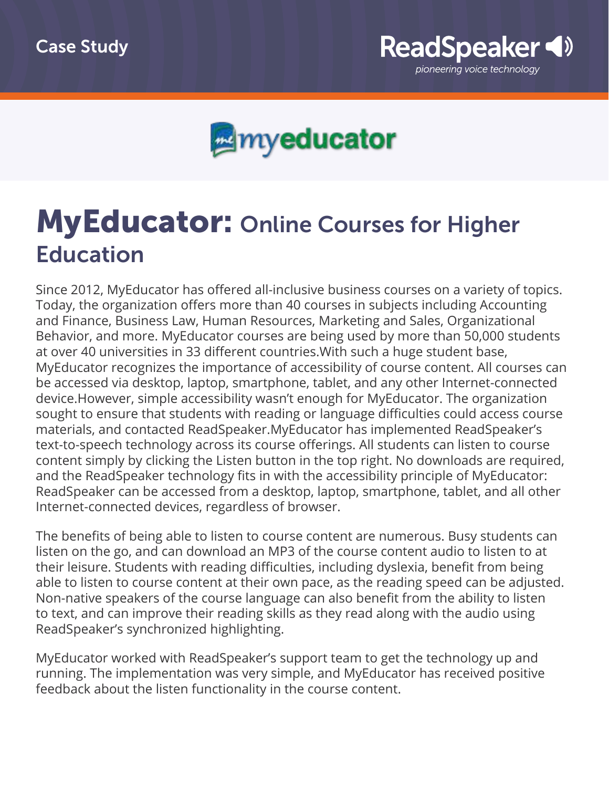



## **MyEducator: Online Courses for Higher** Education

Since 2012, MyEducator has offered all-inclusive business courses on a variety of topics. Today, the organization offers more than 40 courses in subjects including Accounting and Finance, Business Law, Human Resources, Marketing and Sales, Organizational Behavior, and more. MyEducator courses are being used by more than 50,000 students at over 40 universities in 33 different countries.With such a huge student base, MyEducator recognizes the importance of accessibility of course content. All courses can be accessed via desktop, laptop, smartphone, tablet, and any other Internet-connected device.However, simple accessibility wasn't enough for MyEducator. The organization sought to ensure that students with reading or language difficulties could access course materials, and contacted ReadSpeaker.MyEducator has implemented ReadSpeaker's text-to-speech technology across its course offerings. All students can listen to course content simply by clicking the Listen button in the top right. No downloads are required, and the ReadSpeaker technology fits in with the accessibility principle of MyEducator: ReadSpeaker can be accessed from a desktop, laptop, smartphone, tablet, and all other Internet-connected devices, regardless of browser.

The benefits of being able to listen to course content are numerous. Busy students can listen on the go, and can download an MP3 of the course content audio to listen to at their leisure. Students with reading difficulties, including dyslexia, benefit from being able to listen to course content at their own pace, as the reading speed can be adjusted. Non-native speakers of the course language can also benefit from the ability to listen to text, and can improve their reading skills as they read along with the audio using ReadSpeaker's synchronized highlighting.

MyEducator worked with ReadSpeaker's support team to get the technology up and running. The implementation was very simple, and MyEducator has received positive feedback about the listen functionality in the course content.